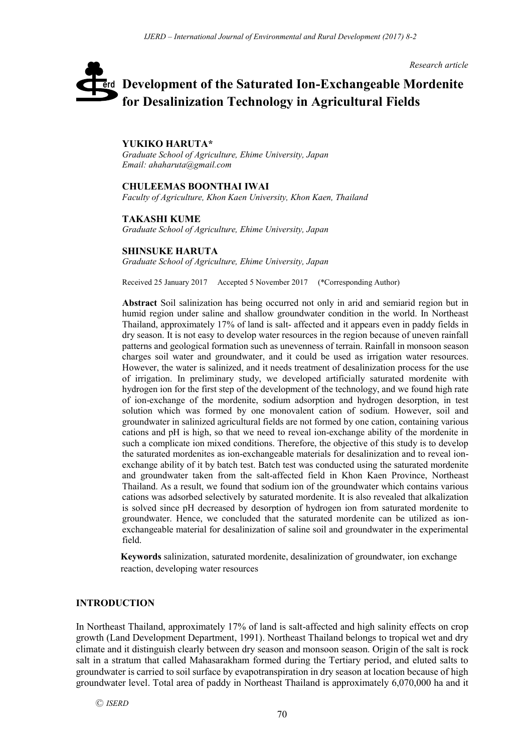*Research article*

# **Development of the Saturated Ion-Exchangeable Mordenite**  erd **for Desalinization Technology in Agricultural Fields**

#### **YUKIKO HARUTA\***

*Graduate School of Agriculture, Ehime University, Japan Email: ahaharuta@gmail.com*

#### **CHULEEMAS BOONTHAI IWAI**

*Faculty of Agriculture, Khon Kaen University, Khon Kaen, Thailand*

#### **TAKASHI KUME**

*Graduate School of Agriculture, Ehime University, Japan*

#### **SHINSUKE HARUTA**

*Graduate School of Agriculture, Ehime University, Japan*

Received 25 January 2017 Accepted 5 November 2017 (\*Corresponding Author)

**Abstract** Soil salinization has being occurred not only in arid and semiarid region but in humid region under saline and shallow groundwater condition in the world. In Northeast Thailand, approximately 17% of land is salt- affected and it appears even in paddy fields in dry season. It is not easy to develop water resources in the region because of uneven rainfall patterns and geological formation such as unevenness of terrain. Rainfall in monsoon season charges soil water and groundwater, and it could be used as irrigation water resources. However, the water is salinized, and it needs treatment of desalinization process for the use of irrigation. In preliminary study, we developed artificially saturated mordenite with hydrogen ion for the first step of the development of the technology, and we found high rate of ion-exchange of the mordenite, sodium adsorption and hydrogen desorption, in test solution which was formed by one monovalent cation of sodium. However, soil and groundwater in salinized agricultural fields are not formed by one cation, containing various cations and pH is high, so that we need to reveal ion-exchange ability of the mordenite in such a complicate ion mixed conditions. Therefore, the objective of this study is to develop the saturated mordenites as ion-exchangeable materials for desalinization and to reveal ionexchange ability of it by batch test. Batch test was conducted using the saturated mordenite and groundwater taken from the salt-affected field in Khon Kaen Province, Northeast Thailand. As a result, we found that sodium ion of the groundwater which contains various cations was adsorbed selectively by saturated mordenite. It is also revealed that alkalization is solved since pH decreased by desorption of hydrogen ion from saturated mordenite to groundwater. Hence, we concluded that the saturated mordenite can be utilized as ionexchangeable material for desalinization of saline soil and groundwater in the experimental field.

**Keywords** salinization, saturated mordenite, desalinization of groundwater, ion exchange reaction, developing water resources

## **INTRODUCTION**

In Northeast Thailand, approximately 17% of land is salt-affected and high salinity effects on crop growth (Land Development Department, 1991). Northeast Thailand belongs to tropical wet and dry climate and it distinguish clearly between dry season and monsoon season. Origin of the salt is rock salt in a stratum that called Mahasarakham formed during the Tertiary period, and eluted salts to groundwater is carried to soil surface by evapotranspiration in dry season at location because of high groundwater level. Total area of paddy in Northeast Thailand is approximately 6,070,000 ha and it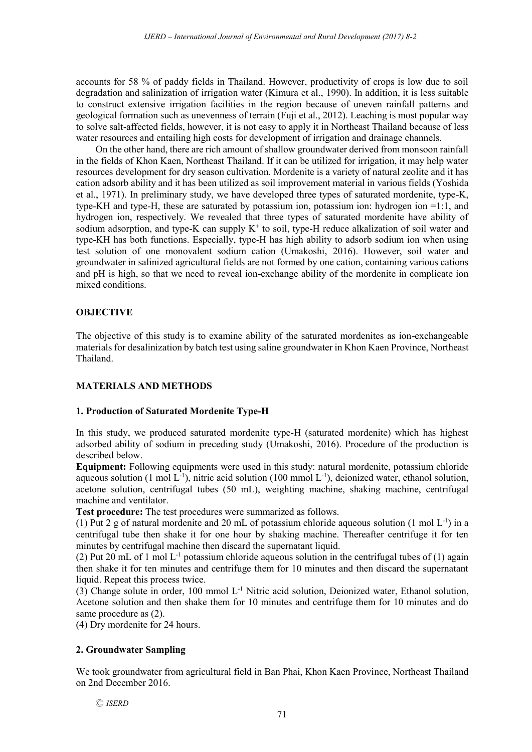accounts for 58 % of paddy fields in Thailand. However, productivity of crops is low due to soil degradation and salinization of irrigation water (Kimura et al., 1990). In addition, it is less suitable to construct extensive irrigation facilities in the region because of uneven rainfall patterns and geological formation such as unevenness of terrain (Fuji et al., 2012). Leaching is most popular way to solve salt-affected fields, however, it is not easy to apply it in Northeast Thailand because of less water resources and entailing high costs for development of irrigation and drainage channels.

On the other hand, there are rich amount of shallow groundwater derived from monsoon rainfall in the fields of Khon Kaen, Northeast Thailand. If it can be utilized for irrigation, it may help water resources development for dry season cultivation. Mordenite is a variety of natural zeolite and it has cation adsorb ability and it has been utilized as soil improvement material in various fields (Yoshida et al., 1971). In preliminary study, we have developed three types of saturated mordenite, type-K, type-KH and type-H, these are saturated by potassium ion, potassium ion: hydrogen ion =1:1, and hydrogen ion, respectively. We revealed that three types of saturated mordenite have ability of sodium adsorption, and type-K can supply  $K^+$  to soil, type-H reduce alkalization of soil water and type-KH has both functions. Especially, type-H has high ability to adsorb sodium ion when using test solution of one monovalent sodium cation (Umakoshi, 2016). However, soil water and groundwater in salinized agricultural fields are not formed by one cation, containing various cations and pH is high, so that we need to reveal ion-exchange ability of the mordenite in complicate ion mixed conditions.

# **OBJECTIVE**

The objective of this study is to examine ability of the saturated mordenites as ion-exchangeable materials for desalinization by batch test using saline groundwater in Khon Kaen Province, Northeast Thailand.

# **MATERIALS AND METHODS**

## **1. Production of Saturated Mordenite Type-H**

In this study, we produced saturated mordenite type-H (saturated mordenite) which has highest adsorbed ability of sodium in preceding study (Umakoshi, 2016). Procedure of the production is described below.

**Equipment:** Following equipments were used in this study: natural mordenite, potassium chloride aqueous solution (1 mol  $L^{-1}$ ), nitric acid solution (100 mmol  $L^{-1}$ ), deionized water, ethanol solution, acetone solution, centrifugal tubes (50 mL), weighting machine, shaking machine, centrifugal machine and ventilator.

**Test procedure:** The test procedures were summarized as follows.

(1) Put 2 g of natural mordenite and 20 mL of potassium chloride aqueous solution  $(1 \text{ mol } L^{-1})$  in a centrifugal tube then shake it for one hour by shaking machine. Thereafter centrifuge it for ten minutes by centrifugal machine then discard the supernatant liquid.

(2) Put 20 mL of 1 mol  $L^{-1}$  potassium chloride aqueous solution in the centrifugal tubes of (1) again then shake it for ten minutes and centrifuge them for 10 minutes and then discard the supernatant liquid. Repeat this process twice.

(3) Change solute in order, 100 mmol L-1 Nitric acid solution, Deionized water, Ethanol solution, Acetone solution and then shake them for 10 minutes and centrifuge them for 10 minutes and do same procedure as  $(2)$ .

(4) Dry mordenite for 24 hours.

# **2. Groundwater Sampling**

We took groundwater from agricultural field in Ban Phai, Khon Kaen Province, Northeast Thailand on 2nd December 2016.

Ⓒ *ISERD*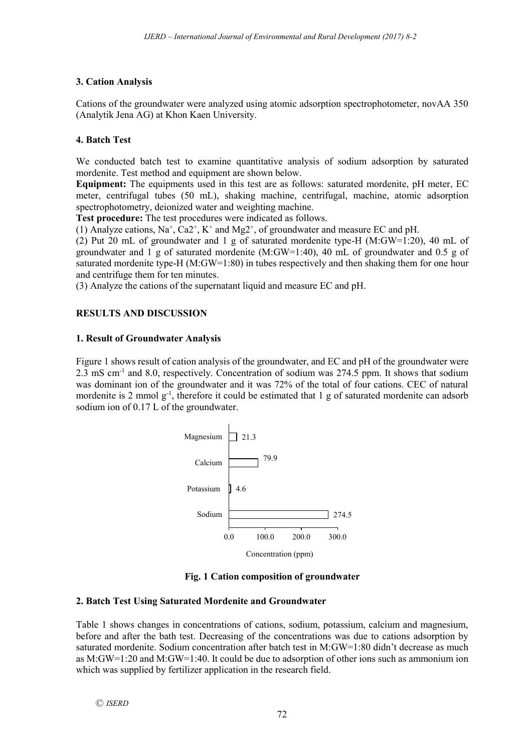# **3. Cation Analysis**

Cations of the groundwater were analyzed using atomic adsorption spectrophotometer, novAA 350 (Analytik Jena AG) at Khon Kaen University.

# **4. Batch Test**

We conducted batch test to examine quantitative analysis of sodium adsorption by saturated mordenite. Test method and equipment are shown below.

**Equipment:** The equipments used in this test are as follows: saturated mordenite, pH meter, EC meter, centrifugal tubes (50 mL), shaking machine, centrifugal, machine, atomic adsorption spectrophotometry, deionized water and weighting machine.

**Test procedure:** The test procedures were indicated as follows.

(1) Analyze cations,  $Na^+$ ,  $Ca2^+$ ,  $K^+$  and  $Mg2^+$ , of groundwater and measure EC and pH.

(2) Put 20 mL of groundwater and 1 g of saturated mordenite type-H (M:GW=1:20), 40 mL of groundwater and 1 g of saturated mordenite (M:GW=1:40), 40 mL of groundwater and 0.5 g of saturated mordenite type-H (M:GW=1:80) in tubes respectively and then shaking them for one hour and centrifuge them for ten minutes.

(3) Analyze the cations of the supernatant liquid and measure EC and pH.

# **RESULTS AND DISCUSSION**

## **1. Result of Groundwater Analysis**

Figure 1 shows result of cation analysis of the groundwater, and EC and pH of the groundwater were 2.3 mS cm<sup>-1</sup> and 8.0, respectively. Concentration of sodium was 274.5 ppm. It shows that sodium was dominant ion of the groundwater and it was 72% of the total of four cations. CEC of natural mordenite is 2 mmol  $g^{-1}$ , therefore it could be estimated that 1 g of saturated mordenite can adsorb sodium ion of 0.17 L of the groundwater.





## **2. Batch Test Using Saturated Mordenite and Groundwater**

Table 1 shows changes in concentrations of cations, sodium, potassium, calcium and magnesium, before and after the bath test. Decreasing of the concentrations was due to cations adsorption by saturated mordenite. Sodium concentration after batch test in M:GW=1:80 didn't decrease as much as M:GW=1:20 and M:GW=1:40. It could be due to adsorption of other ions such as ammonium ion which was supplied by fertilizer application in the research field.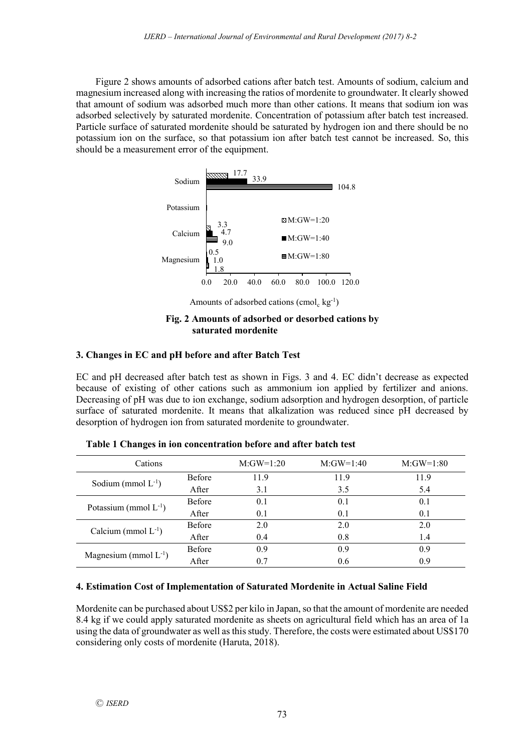Figure 2 shows amounts of adsorbed cations after batch test. Amounts of sodium, calcium and magnesium increased along with increasing the ratios of mordenite to groundwater. It clearly showed that amount of sodium was adsorbed much more than other cations. It means that sodium ion was adsorbed selectively by saturated mordenite. Concentration of potassium after batch test increased. Particle surface of saturated mordenite should be saturated by hydrogen ion and there should be no potassium ion on the surface, so that potassium ion after batch test cannot be increased. So, this should be a measurement error of the equipment.



Amounts of adsorbed cations (cmol<sub>c</sub> kg<sup>-1</sup>)

#### **Fig. 2 Amounts of adsorbed or desorbed cations by saturated mordenite**

# **3. Changes in EC and pH before and after Batch Test**

EC and pH decreased after batch test as shown in Figs. 3 and 4. EC didn't decrease as expected because of existing of other cations such as ammonium ion applied by fertilizer and anions. Decreasing of pH was due to ion exchange, sodium adsorption and hydrogen desorption, of particle surface of saturated mordenite. It means that alkalization was reduced since pH decreased by desorption of hydrogen ion from saturated mordenite to groundwater.

| Cations                    |               | $M:GW=1:20$ | $M:GW=1:40$ | $M:GW=1:80$ |
|----------------------------|---------------|-------------|-------------|-------------|
| Sodium (mmol $L^{-1}$ )    | Before        | 11.9        | 11.9        | 11.9        |
|                            | After         | 3.1         | 3.5         | 5.4         |
| Potassium (mmol $L^{-1}$ ) | <b>Before</b> | 0.1         | 0.1         | 0.1         |
|                            | After         | 0.1         | 0.1         | 0.1         |
| Calcium (mmol $L^{-1}$ )   | Before        | 2.0         | 2.0         | 2.0         |
|                            | After         | 0.4         | 0.8         | 1.4         |
| Magnesium (mmol $L^{-1}$ ) | <b>Before</b> | 0.9         | 0.9         | 0.9         |
|                            | After         | 0.7         | 0.6         | 0.9         |

**Table 1 Changes in ion concentration before and after batch test**

## **4. Estimation Cost of Implementation of Saturated Mordenite in Actual Saline Field**

Mordenite can be purchased about US\$2 per kilo in Japan, so that the amount of mordenite are needed 8.4 kg if we could apply saturated mordenite as sheets on agricultural field which has an area of 1a using the data of groundwater as well as this study. Therefore, the costs were estimated about US\$170 considering only costs of mordenite (Haruta, 2018).